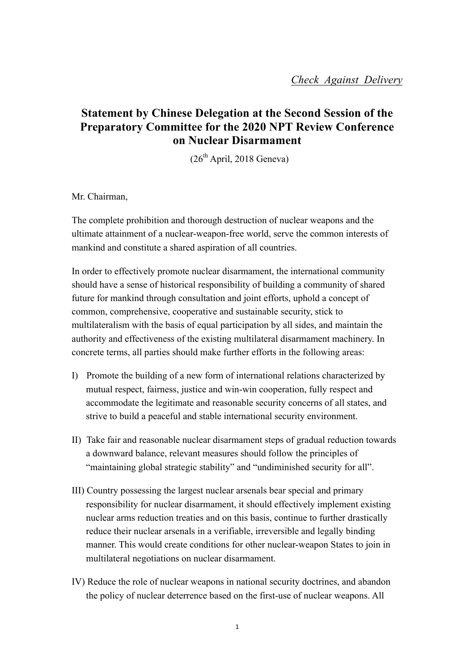## **Statement by Chinese Delegation at the Second Session of the Preparatory Committee for the 2020 NPT Review Conference on Nuclear Disarmament**

 $(26<sup>th</sup>$  April, 2018 Geneva)

Mr. Chairman,

The complete prohibition and thorough destruction of nuclear weapons and the ultimate attainment of a nuclear-weapon-free world, serve the common interests of mankind and constitute a shared aspiration of all countries.

In order to effectively promote nuclear disarmament, the international community should have a sense of historical responsibility of building a community of shared future for mankind through consultation and joint efforts, uphold a concept of common, comprehensive, cooperative and sustainable security, stick to multilateralism with the basis of equal participation by all sides, and maintain the authority and effectiveness of the existing multilateral disarmament machinery. In concrete terms, all parties should make further efforts in the following areas:

- I) Promote the building of a new form of international relations characterized by mutual respect, fairness, justice and win-win cooperation, fully respect and accommodate the legitimate and reasonable security concerns of all states, and strive to build a peaceful and stable international security environment.
- II) Take fair and reasonable nuclear disarmament steps of gradual reduction towards a downward balance, relevant measures should follow the principles of "maintaining global strategic stability" and "undiminished security for all".
- III) Country possessing the largest nuclear arsenals bear special and primary responsibility for nuclear disarmament, it should effectively implement existing nuclear arms reduction treaties and on this basis, continue to further drastically reduce their nuclear arsenals in a verifiable, irreversible and legally binding manner. This would create conditions for other nuclear-weapon States to join in multilateral negotiations on nuclear disarmament.
- IV) Reduce the role of nuclear weapons in national security doctrines, and abandon the policy of nuclear deterrence based on the first-use of nuclear weapons. All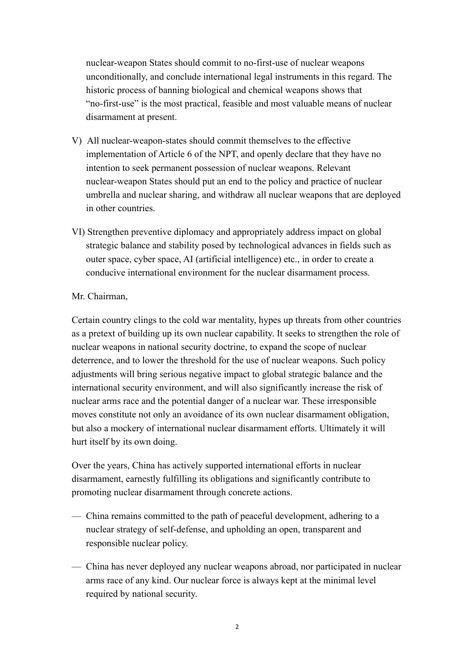nuclear-weapon States should commit to no-first-use of nuclear weapons unconditionally, and conclude international legal instruments in this regard. The historic process of banning biological and chemical weapons shows that "no-first-use" is the most practical, feasible and most valuable means of nuclear disarmament at present.

- V) All nuclear-weapon-states should commit themselves to the effective implementation of Article 6 of the NPT, and openly declare that they have no intention to seek permanent possession of nuclear weapons. Relevant nuclear-weapon States should put an end to the policy and practice of nuclear umbrella and nuclear sharing, and withdraw all nuclear weapons that are deployed in other countries.
- VI) Strengthen preventive diplomacy and appropriately address impact on global strategic balance and stability posed by technological advances in fields such as outer space, cyber space, AI (artificial intelligence) etc., in order to create a conducive international environment for the nuclear disarmament process.

## Mr. Chairman,

Certain country clings to the cold war mentality, hypes up threats from other countries as a pretext of building up its own nuclear capability. It seeks to strengthen the role of nuclear weapons in national security doctrine, to expand the scope of nuclear deterrence, and to lower the threshold for the use of nuclear weapons. Such policy adjustments will bring serious negative impact to global strategic balance and the international security environment, and will also significantly increase the risk of nuclear arms race and the potential danger of a nuclear war. These irresponsible moves constitute not only an avoidance of its own nuclear disarmament obligation, but also a mockery of international nuclear disarmament efforts. Ultimately it will hurt itself by its own doing.

Over the years, China has actively supported international efforts in nuclear disarmament, earnestly fulfilling its obligations and significantly contribute to promoting nuclear disarmament through concrete actions.

- China remains committed to the path of peaceful development, adhering to a nuclear strategy of self-defense, and upholding an open, transparent and responsible nuclear policy.
- China has never deployed any nuclear weapons abroad, nor participated in nuclear arms race of any kind. Our nuclear force is always kept at the minimal level required by national security.